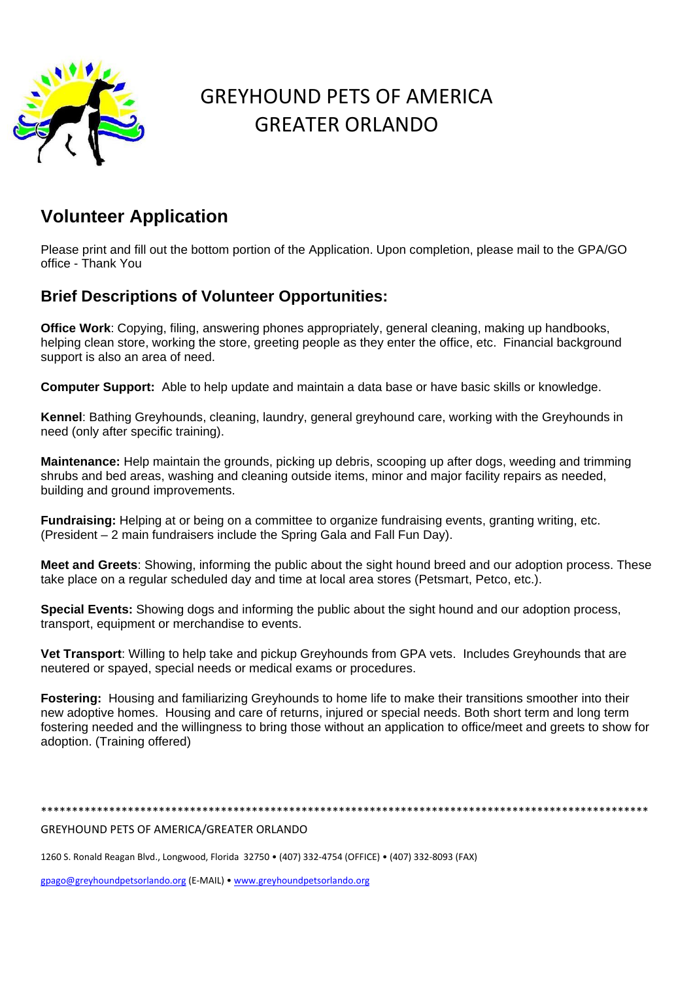

## GREYHOUND PETS OF AMERICA GREATER ORLANDO

## **Volunteer Application**

Please print and fill out the bottom portion of the Application. Upon completion, please mail to the GPA/GO office - Thank You

## **Brief Descriptions of Volunteer Opportunities:**

**Office Work**: Copying, filing, answering phones appropriately, general cleaning, making up handbooks, helping clean store, working the store, greeting people as they enter the office, etc. Financial background support is also an area of need.

**Computer Support:** Able to help update and maintain a data base or have basic skills or knowledge.

**Kennel**: Bathing Greyhounds, cleaning, laundry, general greyhound care, working with the Greyhounds in need (only after specific training).

**Maintenance:** Help maintain the grounds, picking up debris, scooping up after dogs, weeding and trimming shrubs and bed areas, washing and cleaning outside items, minor and major facility repairs as needed, building and ground improvements.

**Fundraising:** Helping at or being on a committee to organize fundraising events, granting writing, etc. (President – 2 main fundraisers include the Spring Gala and Fall Fun Day).

**Meet and Greets**: Showing, informing the public about the sight hound breed and our adoption process. These take place on a regular scheduled day and time at local area stores (Petsmart, Petco, etc.).

**Special Events:** Showing dogs and informing the public about the sight hound and our adoption process, transport, equipment or merchandise to events.

**Vet Transport**: Willing to help take and pickup Greyhounds from GPA vets. Includes Greyhounds that are neutered or spayed, special needs or medical exams or procedures.

**Fostering:** Housing and familiarizing Greyhounds to home life to make their transitions smoother into their new adoptive homes. Housing and care of returns, injured or special needs. Both short term and long term fostering needed and the willingness to bring those without an application to office/meet and greets to show for adoption. (Training offered)

\*\*\*\*\*\*\*\*\*\*\*\*\*\*\*\*\*\*\*\*\*\*\*\*\*\*\*\*\*\*\*\*\*\*\*\*\*\*\*\*\*\*\*\*\*\*\*\*\*\*\*\*\*\*\*\*\*\*\*\*\*\*\*\*\*\*\*\*\*\*\*\*\*\*\*\*\*\*\*\*\*\*\*\*\*\*\*\*\*\*\*\*\*\*\*\*\*\*

## GREYHOUND PETS OF AMERICA/GREATER ORLANDO

1260 S. Ronald Reagan Blvd., Longwood, Florida 32750 • (407) 332‐4754 (OFFICE) • (407) 332‐8093 (FAX)

gpago@greyhoundpetsorlando.org (E‐MAIL) • www.greyhoundpetsorlando.org